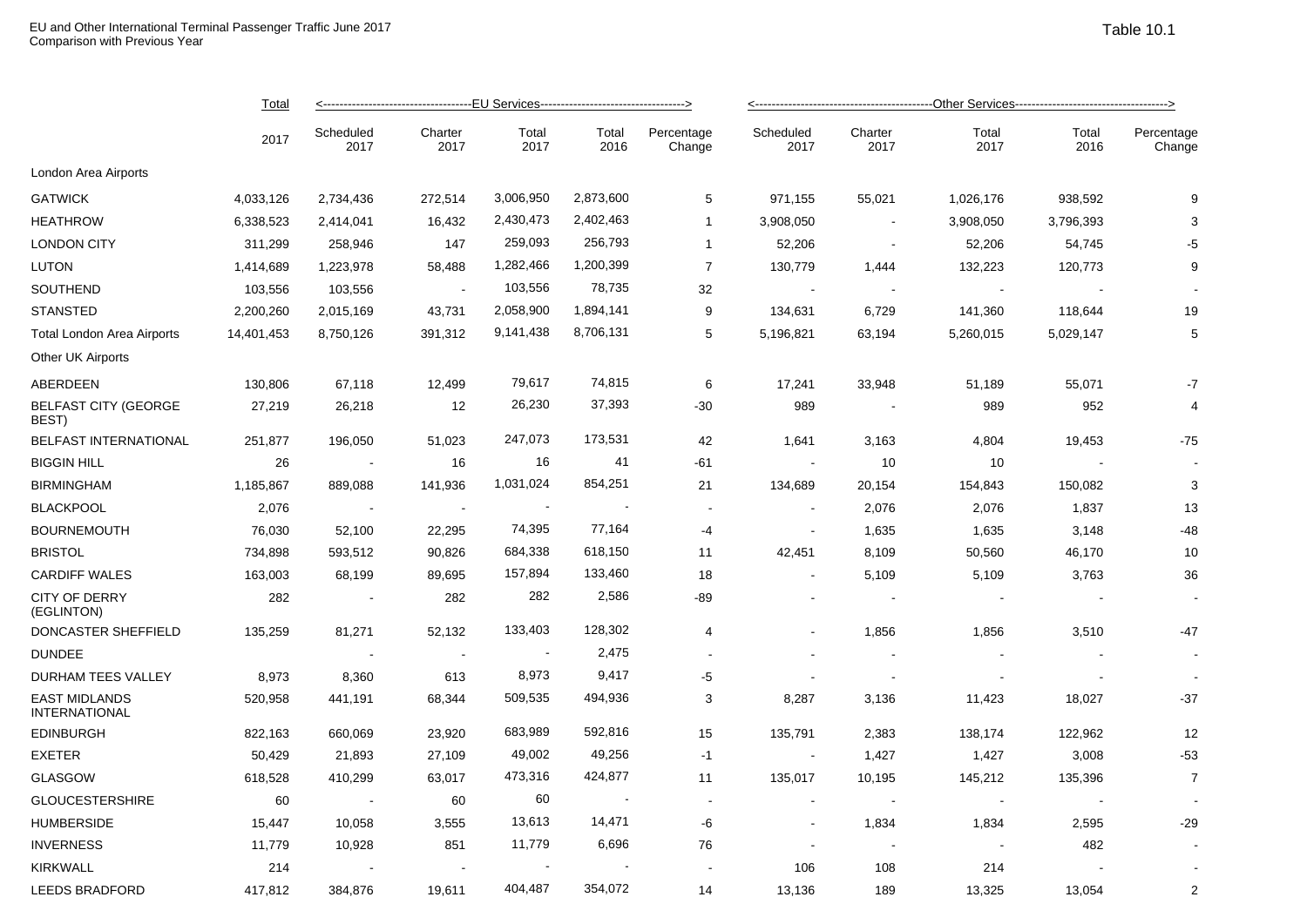|                                              | Total      | <------------------------------------EU Services--------------------------------> |                 |                          |                |                      |                   |                          |                |               |                      |  |
|----------------------------------------------|------------|-----------------------------------------------------------------------------------|-----------------|--------------------------|----------------|----------------------|-------------------|--------------------------|----------------|---------------|----------------------|--|
|                                              | 2017       | Scheduled<br>2017                                                                 | Charter<br>2017 | Total<br>2017            | Total<br>2016  | Percentage<br>Change | Scheduled<br>2017 | Charter<br>2017          | Total<br>2017  | Total<br>2016 | Percentage<br>Change |  |
| London Area Airports                         |            |                                                                                   |                 |                          |                |                      |                   |                          |                |               |                      |  |
| <b>GATWICK</b>                               | 4,033,126  | 2,734,436                                                                         | 272,514         | 3,006,950                | 2,873,600      | 5                    | 971,155           | 55,021                   | 1,026,176      | 938,592       | 9                    |  |
| <b>HEATHROW</b>                              | 6,338,523  | 2,414,041                                                                         | 16,432          | 2,430,473                | 2,402,463      | $\mathbf{1}$         | 3,908,050         | $\sim$                   | 3,908,050      | 3,796,393     | 3                    |  |
| <b>LONDON CITY</b>                           | 311,299    | 258,946                                                                           | 147             | 259,093                  | 256,793        | $\mathbf{1}$         | 52,206            | $\sim$                   | 52,206         | 54,745        | -5                   |  |
| <b>LUTON</b>                                 | 1,414,689  | 1,223,978                                                                         | 58,488          | 1,282,466                | 1,200,399      | $\overline{7}$       | 130,779           | 1,444                    | 132,223        | 120,773       | 9                    |  |
| SOUTHEND                                     | 103,556    | 103,556                                                                           |                 | 103,556                  | 78,735         | 32                   |                   |                          |                |               |                      |  |
| <b>STANSTED</b>                              | 2,200,260  | 2,015,169                                                                         | 43,731          | 2,058,900                | 1,894,141      | 9                    | 134,631           | 6,729                    | 141,360        | 118,644       | 19                   |  |
| <b>Total London Area Airports</b>            | 14,401,453 | 8,750,126                                                                         | 391,312         | 9,141,438                | 8,706,131      | 5                    | 5,196,821         | 63,194                   | 5,260,015      | 5,029,147     | 5                    |  |
| Other UK Airports                            |            |                                                                                   |                 |                          |                |                      |                   |                          |                |               |                      |  |
| ABERDEEN                                     | 130,806    | 67,118                                                                            | 12,499          | 79,617                   | 74,815         | 6                    | 17,241            | 33,948                   | 51,189         | 55,071        | $-7$                 |  |
| <b>BELFAST CITY (GEORGE</b><br>BEST)         | 27,219     | 26,218                                                                            | 12              | 26,230                   | 37,393         | $-30$                | 989               |                          | 989            | 952           | 4                    |  |
| BELFAST INTERNATIONAL                        | 251,877    | 196,050                                                                           | 51,023          | 247,073                  | 173,531        | 42                   | 1,641             | 3,163                    | 4,804          | 19,453        | $-75$                |  |
| <b>BIGGIN HILL</b>                           | 26         | $\sim$ $\sim$                                                                     | 16              | 16                       | 41             | -61                  | $\sim$            | 10                       | 10             |               |                      |  |
| <b>BIRMINGHAM</b>                            | 1,185,867  | 889,088                                                                           | 141,936         | 1,031,024                | 854,251        | 21                   | 134,689           | 20,154                   | 154,843        | 150,082       | 3                    |  |
| <b>BLACKPOOL</b>                             | 2,076      | $\sim$ $\sim$                                                                     | $\sim$          | $\overline{\phantom{a}}$ |                | $\blacksquare$       | $\sim$            | 2,076                    | 2,076          | 1,837         | 13                   |  |
| <b>BOURNEMOUTH</b>                           | 76,030     | 52,100                                                                            | 22,295          | 74,395                   | 77,164         | -4                   | $\sim$            | 1,635                    | 1,635          | 3,148         | $-48$                |  |
| <b>BRISTOL</b>                               | 734,898    | 593,512                                                                           | 90,826          | 684,338                  | 618,150        | 11                   | 42,451            | 8,109                    | 50,560         | 46,170        | 10                   |  |
| <b>CARDIFF WALES</b>                         | 163,003    | 68,199                                                                            | 89,695          | 157,894                  | 133,460        | 18                   |                   | 5,109                    | 5,109          | 3,763         | 36                   |  |
| <b>CITY OF DERRY</b><br>(EGLINTON)           | 282        | $\sim$                                                                            | 282             | 282                      | 2,586          | -89                  | $\blacksquare$    | $\blacksquare$           | $\blacksquare$ |               |                      |  |
| DONCASTER SHEFFIELD                          | 135,259    | 81,271                                                                            | 52,132          | 133,403                  | 128,302        | 4                    |                   | 1,856                    | 1,856          | 3,510         | $-47$                |  |
| <b>DUNDEE</b>                                |            | $\sim$                                                                            | $\sim$          | $\sim$ 100 $\pm$         | 2,475          | $\sim$               |                   |                          |                |               |                      |  |
| DURHAM TEES VALLEY                           | 8,973      | 8,360                                                                             | 613             | 8,973                    | 9,417          | -5                   |                   | $\overline{\phantom{a}}$ |                |               |                      |  |
| <b>EAST MIDLANDS</b><br><b>INTERNATIONAL</b> | 520,958    | 441,191                                                                           | 68,344          | 509,535                  | 494,936        | 3                    | 8,287             | 3,136                    | 11,423         | 18,027        | $-37$                |  |
| <b>EDINBURGH</b>                             | 822,163    | 660,069                                                                           | 23,920          | 683,989                  | 592,816        | 15                   | 135,791           | 2,383                    | 138,174        | 122,962       | 12                   |  |
| <b>EXETER</b>                                | 50,429     | 21,893                                                                            | 27,109          | 49,002                   | 49,256         | $-1$                 | $\sim$            | 1,427                    | 1,427          | 3,008         | $-53$                |  |
| <b>GLASGOW</b>                               | 618,528    | 410,299                                                                           | 63,017          | 473,316                  | 424,877        | 11                   | 135,017           | 10,195                   | 145,212        | 135,396       | $\overline{7}$       |  |
| <b>GLOUCESTERSHIRE</b>                       | 60         | $\sim$ $\sim$                                                                     | 60              | 60                       | $\blacksquare$ | $\sim$               | $\blacksquare$    | $\blacksquare$           | $\blacksquare$ |               |                      |  |
| <b>HUMBERSIDE</b>                            | 15,447     | 10,058                                                                            | 3,555           | 13,613                   | 14,471         | -6                   | $\blacksquare$    | 1,834                    | 1,834          | 2,595         | $-29$                |  |
| <b>INVERNESS</b>                             | 11,779     | 10,928                                                                            | 851             | 11,779                   | 6,696          | 76                   |                   | $\sim$                   |                | 482           |                      |  |
| <b>KIRKWALL</b>                              | 214        |                                                                                   |                 | $\sim$                   |                |                      | 106               | 108                      | 214            |               |                      |  |
| <b>LEEDS BRADFORD</b>                        | 417,812    | 384,876                                                                           | 19,611          | 404,487                  | 354,072        | 14                   | 13,136            | 189                      | 13,325         | 13,054        | $\overline{2}$       |  |